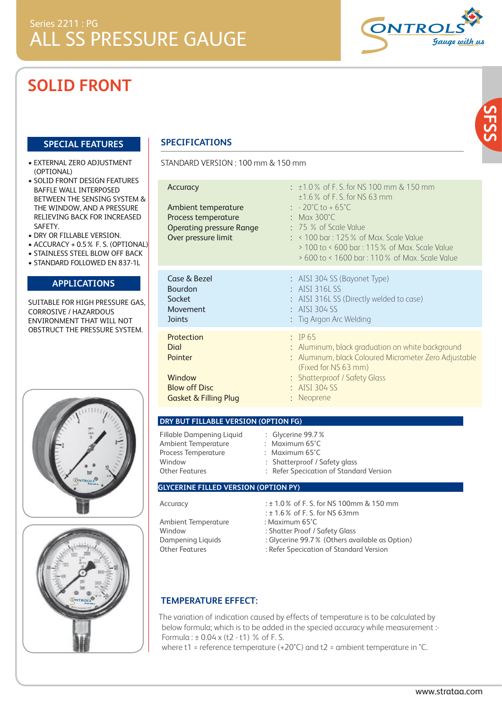# **SOLID FRONT**

#### **SPECIAL FEATURES**

- EXTERNAL ZERO ADJUSTMENT (OPTIONAL)
- SOLID FRONT DESIGN FEATURES BAFFLE WALL INTERPOSED BETWEEN THE SENSING SYSTEM & THE WINDOW, AND A PRESSURE RELIEVING BACK FOR INCREASED SAFETY.
- DRY OR FILLABLE VERSION.
- ACCURACY + 0.5% F. S. (OPTIONAL)
- STAINLESS STEEL BLOW OFF BACK
- STANDARD FOLLOWED EN 837-1L

### **APPLICATIONS**

SUITABLE FOR HIGH PRESSURE GAS, CORROSIVE / HAZARDOUS ENVIRONMENT THAT WILL NOT OBSTRUCT THE PRESSURE SYSTEM.





### **SPECIFICATIONS**

STANDARD VERSION : 100 mm & 150 mm

| Accuracy<br>Ambient temperature<br>Process temperature<br><b>Operating pressure Range</b><br>Over pressure limit | $\pm$ 1.0 % of F. S. for NS 100 mm & 150 mm<br>$±1.6$ % of F. S. for NS 63 mm<br>$\therefore$ - 20°C to + 65°C<br>: Max $300^{\circ}$ C<br>$: 75%$ of Scale Value<br>$:$ < 100 bar : 125 % of Max. Scale Value<br>> 100 to < 600 bar: 115 % of Max. Scale Value<br>> 600 to < 1600 bar: 110 % of Max. Scale Value |
|------------------------------------------------------------------------------------------------------------------|-------------------------------------------------------------------------------------------------------------------------------------------------------------------------------------------------------------------------------------------------------------------------------------------------------------------|
| Case & Bezel<br><b>Bourdon</b><br>Socket<br>Movement<br><b>Joints</b>                                            | : AISI 304 SS (Bayonet Type)<br>$:$ AISI 316LSS<br>: AISI 316L SS (Directly welded to case)<br>AISI 304 SS<br>Tig Argon Arc Welding                                                                                                                                                                               |
| Protection<br>Dial<br>Pointer<br>Window<br><b>Blow off Disc</b><br><b>Gasket &amp; Filling Plug</b>              | $\therefore$ IP 65<br>: Aluminum, black graduation on white background<br>Aluminum, black Coloured Micrometer Zero Adjustable<br>(Fixed for NS 63 mm)<br>: Shatterproof / Safety Glass<br>$\div$ AISI 304 SS<br>Neoprene                                                                                          |

| DRY BUT FILLABLE VERSION (OPTION FG) |                               |  |  |  |  |  |  |  |
|--------------------------------------|-------------------------------|--|--|--|--|--|--|--|
| Fillable Dampening Liquid            | $\therefore$ Glycerine 99.7%  |  |  |  |  |  |  |  |
| Ambient Temperature                  | : Maximum $65^{\circ}$ C      |  |  |  |  |  |  |  |
| Process Temperature                  | : Maximum $65^{\circ}$ C      |  |  |  |  |  |  |  |
| Window                               | : Shatterproof / Safety alass |  |  |  |  |  |  |  |

Other Features : Refer Specication of Standard Version

#### **GLYCERINE FILLED VERSION (OPTION PY)**

| Accuracy                      |  |
|-------------------------------|--|
| Ambient Temperature<br>Window |  |
| )ampenina Liauids             |  |

- : ± 1.0 % of F. S. for NS 100mm & 150 mm : ± 1.6% of F. S. for NS 63mm
- : Maximum 65°C
- : Shatter Proof / Safety Glass
- 
- Dampening Liquids : Glycerine 99.7% (Others available as Option)<br>Other Features : Refer Specication of Standard Version : Refer Specication of Standard Version
	-

### **TEMPERATURE EFFECT:**

The variation of indication caused by effects of temperature is to be calculated by below formula; which is to be added in the specied accuracy while measurement :- Formula :  $\pm$  0.04 x (t2 - t1) % of F. S.

where t1 = reference temperature (+20°C) and t2 = ambient temperature in °C.

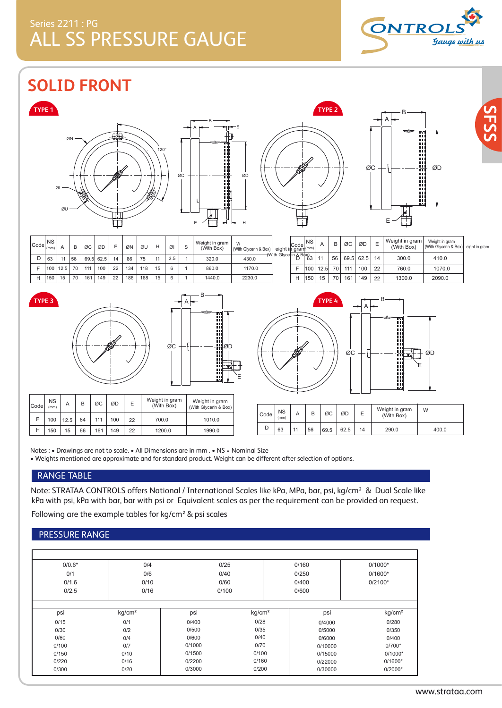# Series 2211 : PG ALL SS PRESSURE GAUGE



**SOLID FRONT**









E

W

400.0

B



| $Code _{(mm)}$ | <b>NS</b> |      |    | ØC  | ØD        | Е  | ØN  | ØU  | н  | ØI  | Weight in gram<br>(With Box) | With Glycerin & Box) | eight in gram <sup>(mm)</sup> | $ $ NS |      |    | ØC  | ØD        | E  | Weight in gram<br>(With Box) | Weight in gram<br>(With Glycerin & Box) eight in gram |  |
|----------------|-----------|------|----|-----|-----------|----|-----|-----|----|-----|------------------------------|----------------------|-------------------------------|--------|------|----|-----|-----------|----|------------------------------|-------------------------------------------------------|--|
|                | 63        |      | 56 |     | 69.5 62.5 | 14 | 86  | 75  | 11 | 3.5 | 320.0                        | 430.0                | (With Glycerin & Box) 3       |        |      | 56 |     | 69.5 62.5 | 14 | 300.0                        | 410.0                                                 |  |
|                | 100       | 12.5 | 70 | 111 | 100       | 22 | 134 | 118 | 15 | 6   | 860.0                        | 1170.0               |                               | 100    | 12.5 | 70 | 111 | 100       | 22 | 760.0                        | 1070.0                                                |  |
|                | 150       |      | 70 | 161 | 149       | 22 | 186 | 168 | 15 | 6   | 1440.0                       | 2230.0               |                               | 150    | 15   | 70 | 161 | 149       | 22 | 1300.0                       | 2090.0                                                |  |



NS (mm)

F

Code





63 11 56 69.5 62.5 14 290.0

|                                                                                                                                                                                                                                                                                                             | 'YPE 4           |      |    |             |      |    |            |                       |  |  |
|-------------------------------------------------------------------------------------------------------------------------------------------------------------------------------------------------------------------------------------------------------------------------------------------------------------|------------------|------|----|-------------|------|----|------------|-----------------------|--|--|
| Н                                                                                                                                                                                                                                                                                                           | 150              | 15   | 70 | 161         | 149  | 22 | 1300.0     | 2090.0                |  |  |
| F                                                                                                                                                                                                                                                                                                           | 100 <sup>1</sup> | 12.5 | 70 | 111         | 100  | 22 | 760.0      | 1070.0                |  |  |
| $\frac{1}{10}$ $\frac{1}{10}$ $\frac{1}{10}$ $\frac{1}{10}$ $\frac{1}{10}$ $\frac{1}{10}$ $\frac{1}{10}$ $\frac{1}{10}$ $\frac{1}{10}$ $\frac{1}{10}$ $\frac{1}{10}$ $\frac{1}{10}$ $\frac{1}{10}$ $\frac{1}{10}$ $\frac{1}{10}$ $\frac{1}{10}$ $\frac{1}{10}$ $\frac{1}{10}$ $\frac{1}{10}$ $\frac{1}{10}$ |                  | 11   | 56 | 69.5        | 62.5 | 14 | 300.0      | 410.0                 |  |  |
| Code <br>∴gram ( <sup>mm)</sup>                                                                                                                                                                                                                                                                             |                  | A    | ь  | <b>VG</b> I | טש   | ᄇ  | (With Box) | (With Glycerin & Box) |  |  |

150 15 66 161 149 22 1200.0 1990.0 D H

100 12.5 64 111 100 22 700.0

Notes : • Drawings are not to scale. • All Dimensions are in mm . • NS = Nominal Size • Weights mentioned are approximate and for standard product. Weight can be different after selection of options.

1010.0

### RANGE TABLE

Note: STRATAA CONTROLS offers National / International Scales like kPa, MPa, bar, psi, kg/cm² & Dual Scale like kPa with psi, kPa with bar, bar with psi or Equivalent scales as per the requirement can be provided on request. Following are the example tables for kg/cm² & psi scales

### PRESSURE RANGE

| $0/0.6*$ | 0/4                | 0/25           |                    | 0/160   | $0/1000*$          |
|----------|--------------------|----------------|--------------------|---------|--------------------|
| 0/1      | 0/6                | 0/40           |                    | 0/250   | $0/1600*$          |
| 0/1.6    | 0/10               | 0/60           |                    | 0/400   | $0/2100*$          |
| 0/2.5    | 0/16               | 0/100<br>0/600 |                    |         |                    |
| psi      | kg/cm <sup>2</sup> | psi            | kg/cm <sup>2</sup> | psi     | kg/cm <sup>2</sup> |
| 0/15     | 0/1                | 0/400          | 0/28               | 0/4000  | 0/280              |
| 0/30     | 0/2                | 0/500          | 0/35               | 0/5000  | 0/350              |
| 0/60     | 0/4                | 0/600          | 0/40               | 0/6000  | 0/400              |
| 0/100    | 0/7                | 0/1000         | 0/70               | 0/10000 | $0/700*$           |
| 0/150    | 0/10               | 0/1500         | 0/100              | 0/15000 | $0/1000*$          |
| 0/220    | 0/16               | 0/2200         | 0/160              | 0/22000 | $0/1600*$          |
| 0/300    | 0/20               | 0/3000         | 0/200              | 0/30000 | $0/2000*$          |